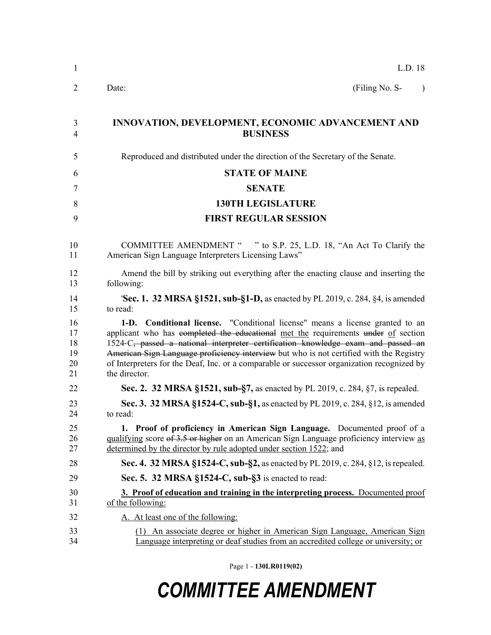| $\mathbf{1}$                     | L.D. 18                                                                                                                                                                                                                                                                                                                                                                                                                                                                                  |
|----------------------------------|------------------------------------------------------------------------------------------------------------------------------------------------------------------------------------------------------------------------------------------------------------------------------------------------------------------------------------------------------------------------------------------------------------------------------------------------------------------------------------------|
| 2                                | (Filing No. S-<br>Date:<br>$\lambda$                                                                                                                                                                                                                                                                                                                                                                                                                                                     |
| 3<br>$\overline{4}$              | INNOVATION, DEVELOPMENT, ECONOMIC ADVANCEMENT AND<br><b>BUSINESS</b>                                                                                                                                                                                                                                                                                                                                                                                                                     |
| 5                                | Reproduced and distributed under the direction of the Secretary of the Senate.                                                                                                                                                                                                                                                                                                                                                                                                           |
| 6                                | <b>STATE OF MAINE</b>                                                                                                                                                                                                                                                                                                                                                                                                                                                                    |
| 7                                | <b>SENATE</b>                                                                                                                                                                                                                                                                                                                                                                                                                                                                            |
| 8                                | <b>130TH LEGISLATURE</b>                                                                                                                                                                                                                                                                                                                                                                                                                                                                 |
| 9                                | <b>FIRST REGULAR SESSION</b>                                                                                                                                                                                                                                                                                                                                                                                                                                                             |
| 10<br>11                         | COMMITTEE AMENDMENT " " to S.P. 25, L.D. 18, "An Act To Clarify the<br>American Sign Language Interpreters Licensing Laws"                                                                                                                                                                                                                                                                                                                                                               |
| 12<br>13                         | Amend the bill by striking out everything after the enacting clause and inserting the<br>following:                                                                                                                                                                                                                                                                                                                                                                                      |
| 14<br>15                         | 'Sec. 1. 32 MRSA §1521, sub-§1-D, as enacted by PL 2019, c. 284, §4, is amended<br>to read:                                                                                                                                                                                                                                                                                                                                                                                              |
| 16<br>17<br>18<br>19<br>20<br>21 | <b>Conditional license.</b> "Conditional license" means a license granted to an<br>$1-D.$<br>applicant who has completed the educational met the requirements under of section<br>1524-C <sub>2</sub> passed a national interpreter certification knowledge exam and passed an<br>American Sign Language proficiency interview but who is not certified with the Registry<br>of Interpreters for the Deaf, Inc. or a comparable or successor organization recognized by<br>the director. |
| 22                               | Sec. 2. 32 MRSA §1521, sub-§7, as enacted by PL 2019, c. 284, §7, is repealed.                                                                                                                                                                                                                                                                                                                                                                                                           |
| 23<br>24                         | Sec. 3. 32 MRSA §1524-C, sub-§1, as enacted by PL 2019, c. 284, §12, is amended<br>to read:                                                                                                                                                                                                                                                                                                                                                                                              |
| 25<br>26<br>27                   | 1. Proof of proficiency in American Sign Language. Documented proof of a<br>qualifying score of 3.5 or higher on an American Sign Language proficiency interview as<br>determined by the director by rule adopted under section 1522; and                                                                                                                                                                                                                                                |
| 28                               | Sec. 4. 32 MRSA §1524-C, sub-§2, as enacted by PL 2019, c. 284, §12, is repealed.                                                                                                                                                                                                                                                                                                                                                                                                        |
| 29                               | Sec. 5. 32 MRSA §1524-C, sub-§3 is enacted to read:                                                                                                                                                                                                                                                                                                                                                                                                                                      |
| 30<br>31                         | 3. Proof of education and training in the interpreting process. Documented proof<br>of the following:                                                                                                                                                                                                                                                                                                                                                                                    |
| 32                               | A. At least one of the following:                                                                                                                                                                                                                                                                                                                                                                                                                                                        |
| 33<br>34                         | An associate degree or higher in American Sign Language, American Sign<br>(1)<br>Language interpreting or deaf studies from an accredited college or university; or                                                                                                                                                                                                                                                                                                                      |

Page 1 - **130LR0119(02)**

## *COMMITTEE AMENDMENT*